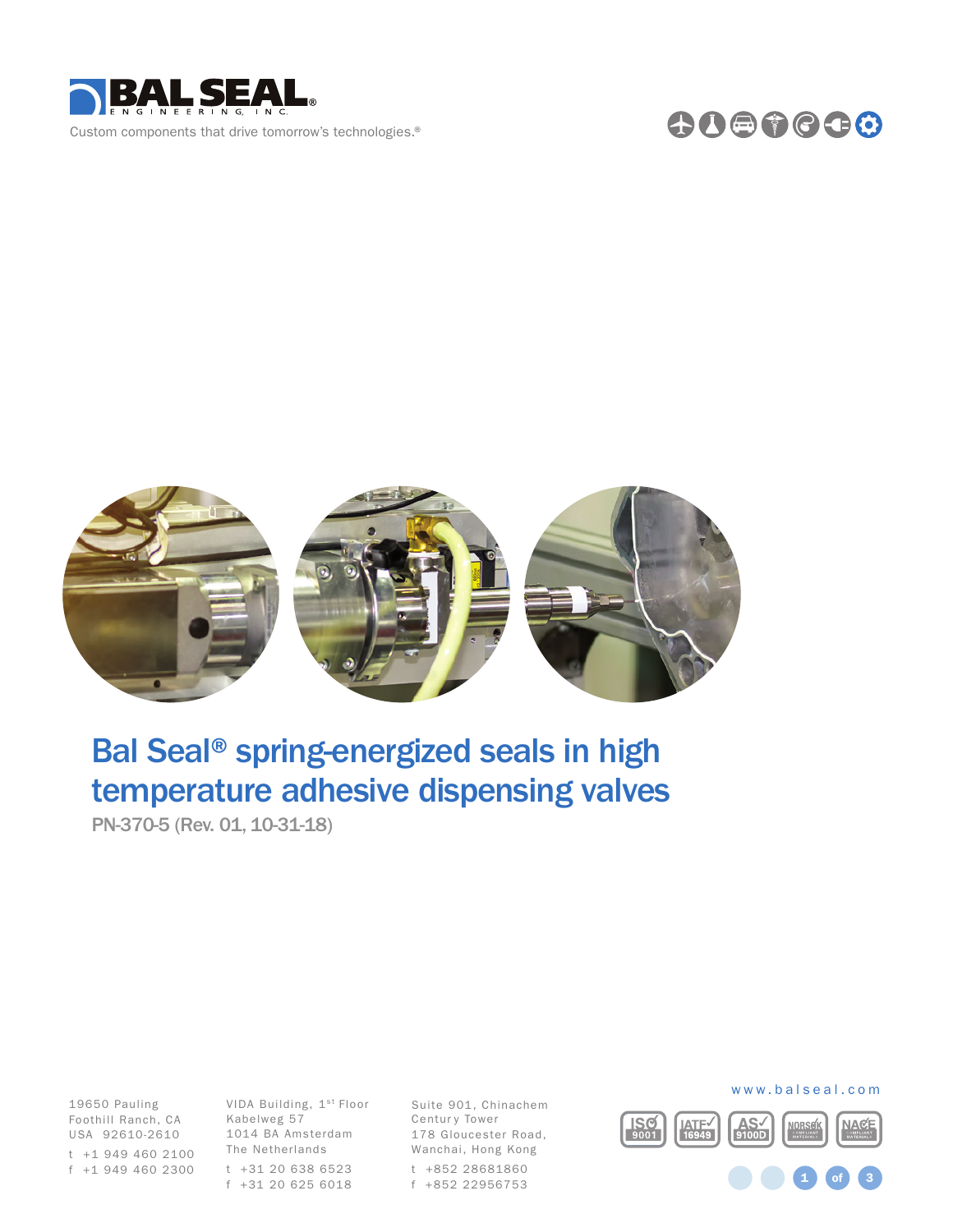

## 0000000



# Bal Seal® spring-energized seals in high temperature adhesive dispensing valves

PN-370-5 (Rev. 01, 10-31-18)

Foothill Ranch, CA Kabelweg 57 19650 Pauling USA 92610-2610 t +1 949 460 2100

VIDA Building, 1st Floor 1014 BA Amsterdam The Netherlands t +31 20 638 6523 f +1 949 460 2300 f +31 20 625 6018

Suite 901, Chinachem Centur y Tower 178 Gloucester Road, Wanchai, Hong Kong t +852 28681860 f +852 22956753

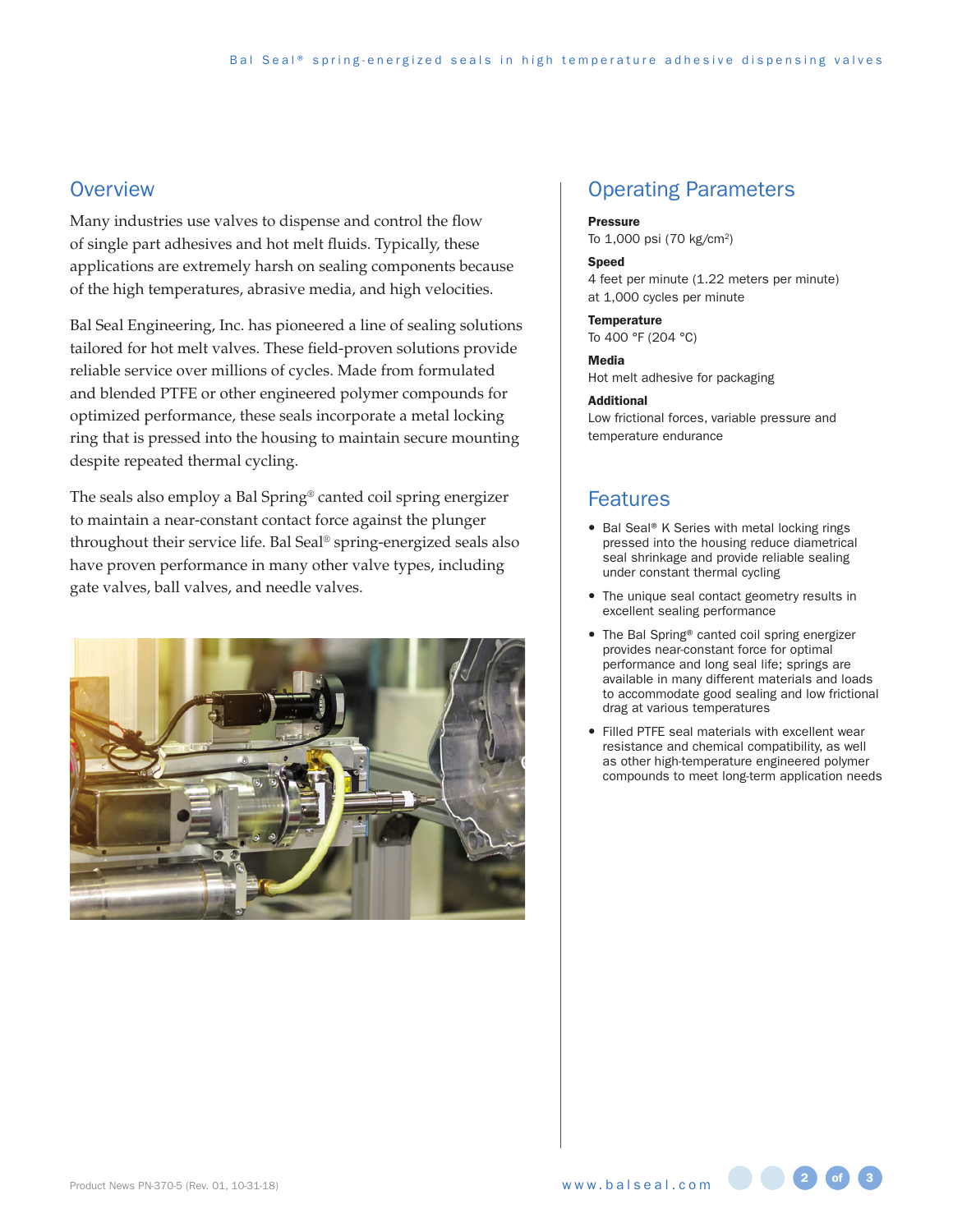## **Overview**

Many industries use valves to dispense and control the flow of single part adhesives and hot melt fluids. Typically, these applications are extremely harsh on sealing components because of the high temperatures, abrasive media, and high velocities.

Bal Seal Engineering, Inc. has pioneered a line of sealing solutions tailored for hot melt valves. These field-proven solutions provide reliable service over millions of cycles. Made from formulated and blended PTFE or other engineered polymer compounds for optimized performance, these seals incorporate a metal locking ring that is pressed into the housing to maintain secure mounting despite repeated thermal cycling.

The seals also employ a Bal Spring® canted coil spring energizer to maintain a near-constant contact force against the plunger throughout their service life. Bal Seal® spring-energized seals also have proven performance in many other valve types, including gate valves, ball valves, and needle valves.



## Operating Parameters

#### Pressure

To 1,000 psi (70 kg/cm2)

#### Speed

4 feet per minute (1.22 meters per minute) at 1,000 cycles per minute

#### **Temperature**

To 400 °F (204 °C)

#### Media

Hot melt adhesive for packaging

#### Additional

Low frictional forces, variable pressure and temperature endurance

## Features

- Bal Seal® K Series with metal locking rings pressed into the housing reduce diametrical seal shrinkage and provide reliable sealing under constant thermal cycling
- The unique seal contact geometry results in excellent sealing performance
- The Bal Spring® canted coil spring energizer provides near-constant force for optimal performance and long seal life; springs are available in many different materials and loads to accommodate good sealing and low frictional drag at various temperatures
- Filled PTFE seal materials with excellent wear resistance and chemical compatibility, as well as other high-temperature engineered polymer compounds to meet long-term application needs